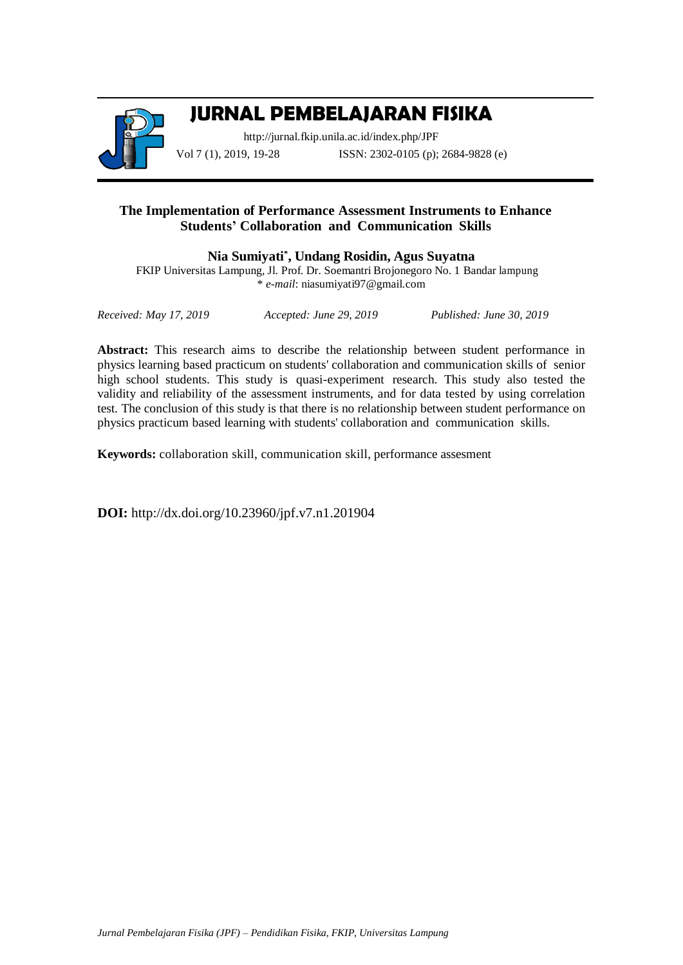

# **JURNAL PEMBELAJARAN FISIKA**

<http://jurnal.fkip.unila.ac.id/index.php/JPF> Vol 7 (1), 2019, 19-28 **ISSN**: 2302-0105 (p); 2684-9828 (e)

## **The Implementation of Performance Assessment Instruments to Enhance Students' Collaboration and Communication Skills**

**Nia Sumiyati\* , Undang Rosidin, Agus Suyatna**

FKIP Universitas Lampung, Jl. Prof. Dr. Soemantri Brojonegoro No. 1 Bandar lampung \* *e*-*mail*: niasumiyati97@gmail.com

*Received: May 17, 2019 Accepted: June 29, 2019 Published: June 30, 2019*

**Abstract:** This research aims to describe the relationship between student performance in physics learning based practicum on students' collaboration and communication skills of senior high school students. This study is quasi-experiment research. This study also tested the validity and reliability of the assessment instruments, and for data tested by using correlation test. The conclusion of this study is that there is no relationship between student performance on physics practicum based learning with students' collaboration and communication skills.

**Keywords:** collaboration skill, communication skill, performance assesment

**DOI:** http://dx.doi.org/10.23960/jpf.v7.n1.201904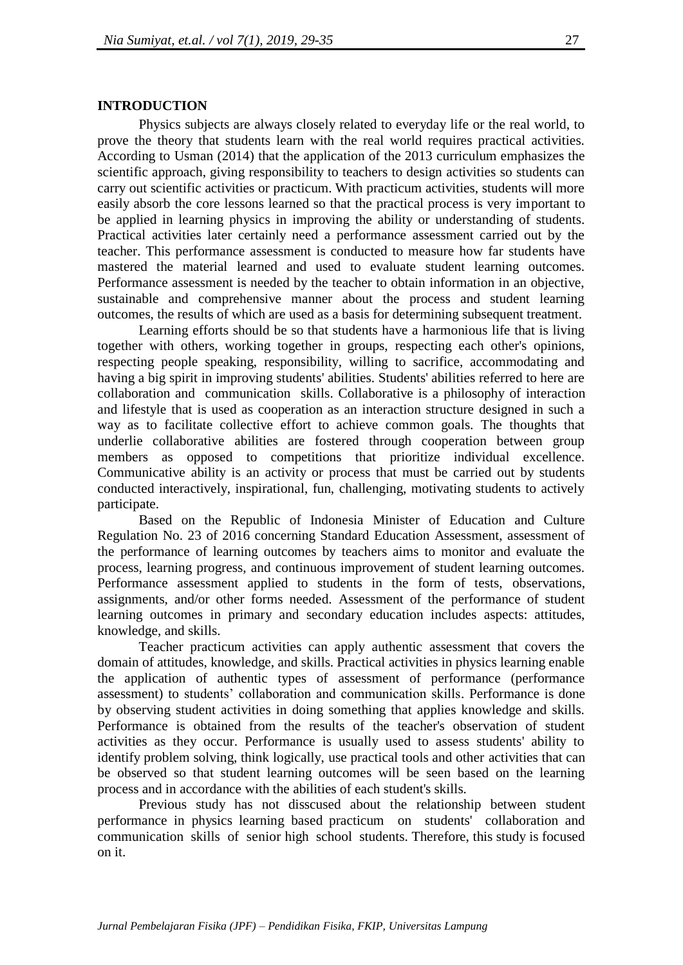#### **INTRODUCTION**

Physics subjects are always closely related to everyday life or the real world, to prove the theory that students learn with the real world requires practical activities. According to Usman (2014) that the application of the 2013 curriculum emphasizes the scientific approach, giving responsibility to teachers to design activities so students can carry out scientific activities or practicum. With practicum activities, students will more easily absorb the core lessons learned so that the practical process is very important to be applied in learning physics in improving the ability or understanding of students. Practical activities later certainly need a performance assessment carried out by the teacher. This performance assessment is conducted to measure how far students have mastered the material learned and used to evaluate student learning outcomes. Performance assessment is needed by the teacher to obtain information in an objective, sustainable and comprehensive manner about the process and student learning outcomes, the results of which are used as a basis for determining subsequent treatment.

Learning efforts should be so that students have a harmonious life that is living together with others, working together in groups, respecting each other's opinions, respecting people speaking, responsibility, willing to sacrifice, accommodating and having a big spirit in improving students' abilities. Students' abilities referred to here are collaboration and communication skills. Collaborative is a philosophy of interaction and lifestyle that is used as cooperation as an interaction structure designed in such a way as to facilitate collective effort to achieve common goals. The thoughts that underlie collaborative abilities are fostered through cooperation between group members as opposed to competitions that prioritize individual excellence. Communicative ability is an activity or process that must be carried out by students conducted interactively, inspirational, fun, challenging, motivating students to actively participate.

Based on the Republic of Indonesia Minister of Education and Culture Regulation No. 23 of 2016 concerning Standard Education Assessment, assessment of the performance of learning outcomes by teachers aims to monitor and evaluate the process, learning progress, and continuous improvement of student learning outcomes. Performance assessment applied to students in the form of tests, observations, assignments, and/or other forms needed. Assessment of the performance of student learning outcomes in primary and secondary education includes aspects: attitudes, knowledge, and skills.

Teacher practicum activities can apply authentic assessment that covers the domain of attitudes, knowledge, and skills. Practical activities in physics learning enable the application of authentic types of assessment of performance (performance assessment) to students' collaboration and communication skills. Performance is done by observing student activities in doing something that applies knowledge and skills. Performance is obtained from the results of the teacher's observation of student activities as they occur. Performance is usually used to assess students' ability to identify problem solving, think logically, use practical tools and other activities that can be observed so that student learning outcomes will be seen based on the learning process and in accordance with the abilities of each student's skills.

Previous study has not disscused about the relationship between student performance in physics learning based practicum on students' collaboration and communication skills of senior high school students. Therefore, this study is focused on it.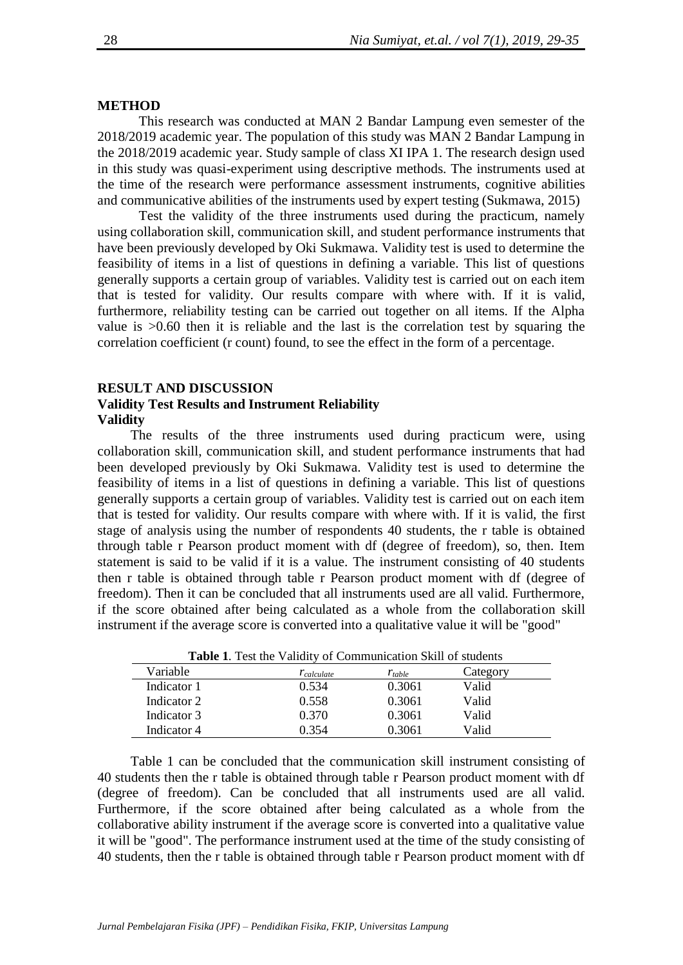#### **METHOD**

This research was conducted at MAN 2 Bandar Lampung even semester of the 2018/2019 academic year. The population of this study was MAN 2 Bandar Lampung in the 2018/2019 academic year. Study sample of class XI IPA 1. The research design used in this study was quasi-experiment using descriptive methods. The instruments used at the time of the research were performance assessment instruments, cognitive abilities and communicative abilities of the instruments used by expert testing (Sukmawa, 2015)

Test the validity of the three instruments used during the practicum, namely using collaboration skill, communication skill, and student performance instruments that have been previously developed by Oki Sukmawa. Validity test is used to determine the feasibility of items in a list of questions in defining a variable. This list of questions generally supports a certain group of variables. Validity test is carried out on each item that is tested for validity. Our results compare with where with. If it is valid, furthermore, reliability testing can be carried out together on all items. If the Alpha value is >0.60 then it is reliable and the last is the correlation test by squaring the correlation coefficient (r count) found, to see the effect in the form of a percentage.

### **RESULT AND DISCUSSION Validity Test Results and Instrument Reliability Validity**

The results of the three instruments used during practicum were, using collaboration skill, communication skill, and student performance instruments that had been developed previously by Oki Sukmawa. Validity test is used to determine the feasibility of items in a list of questions in defining a variable. This list of questions generally supports a certain group of variables. Validity test is carried out on each item that is tested for validity. Our results compare with where with. If it is valid, the first stage of analysis using the number of respondents 40 students, the r table is obtained through table r Pearson product moment with df (degree of freedom), so, then. Item statement is said to be valid if it is a value. The instrument consisting of 40 students then r table is obtained through table r Pearson product moment with df (degree of freedom). Then it can be concluded that all instruments used are all valid. Furthermore, if the score obtained after being calculated as a whole from the collaboration skill instrument if the average score is converted into a qualitative value it will be "good"

| <b>Table 1.</b> Test the validity of communication skill of students |                  |             |          |  |
|----------------------------------------------------------------------|------------------|-------------|----------|--|
| Variable                                                             | $r_{calculated}$ | $r_{table}$ | Category |  |
| Indicator 1                                                          | 0.534            | 0.3061      | Valid    |  |
| Indicator 2                                                          | 0.558            | 0.3061      | Valid    |  |
| Indicator 3                                                          | 0.370            | 0.3061      | Valid    |  |
| Indicator 4                                                          | 0.354            | 0.3061      | Valid    |  |

**Table 1**. Test the Validity of Communication Skill of students

Table 1 can be concluded that the communication skill instrument consisting of 40 students then the r table is obtained through table r Pearson product moment with df (degree of freedom). Can be concluded that all instruments used are all valid. Furthermore, if the score obtained after being calculated as a whole from the collaborative ability instrument if the average score is converted into a qualitative value it will be "good". The performance instrument used at the time of the study consisting of 40 students, then the r table is obtained through table r Pearson product moment with df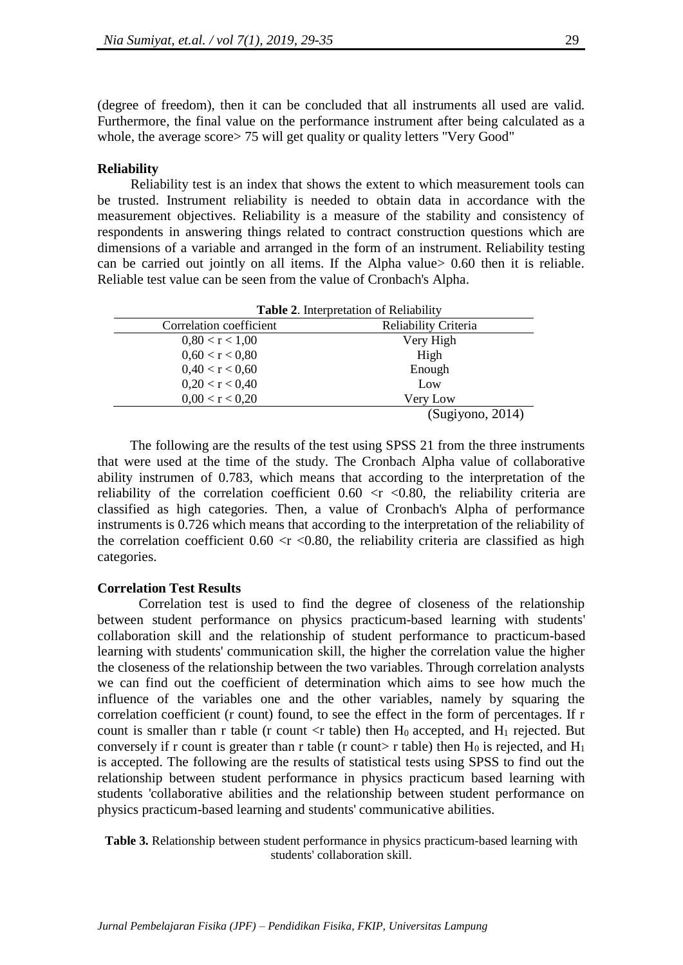(degree of freedom), then it can be concluded that all instruments all used are valid. Furthermore, the final value on the performance instrument after being calculated as a whole, the average score > 75 will get quality or quality letters "Very Good"

### **Reliability**

Reliability test is an index that shows the extent to which measurement tools can be trusted. Instrument reliability is needed to obtain data in accordance with the measurement objectives. Reliability is a measure of the stability and consistency of respondents in answering things related to contract construction questions which are dimensions of a variable and arranged in the form of an instrument. Reliability testing can be carried out jointly on all items. If the Alpha value> 0.60 then it is reliable. Reliable test value can be seen from the value of Cronbach's Alpha.

| Table 2. Interpretation of Reliability |                      |  |  |
|----------------------------------------|----------------------|--|--|
| Correlation coefficient                | Reliability Criteria |  |  |
| 0.80 < r < 1.00                        | Very High            |  |  |
| 0,60 < r < 0,80                        | High                 |  |  |
| 0,40 < r < 0,60                        | Enough               |  |  |
| 0,20 < r < 0,40                        | Low                  |  |  |
| 0,00 < r < 0,20                        | Very Low             |  |  |
|                                        | (Sugiyono, 2014)     |  |  |

The following are the results of the test using SPSS 21 from the three instruments that were used at the time of the study. The Cronbach Alpha value of collaborative ability instrumen of 0.783, which means that according to the interpretation of the reliability of the correlation coefficient  $0.60 \le r \le 0.80$ , the reliability criteria are classified as high categories. Then, a value of Cronbach's Alpha of performance instruments is 0.726 which means that according to the interpretation of the reliability of the correlation coefficient  $0.60 \le r \le 0.80$ , the reliability criteria are classified as high categories.

## **Correlation Test Results**

Correlation test is used to find the degree of closeness of the relationship between student performance on physics practicum-based learning with students' collaboration skill and the relationship of student performance to practicum-based learning with students' communication skill, the higher the correlation value the higher the closeness of the relationship between the two variables. Through correlation analysts we can find out the coefficient of determination which aims to see how much the influence of the variables one and the other variables, namely by squaring the correlation coefficient (r count) found, to see the effect in the form of percentages. If r count is smaller than r table (r count  $\langle$ r table) then H<sub>0</sub> accepted, and H<sub>1</sub> rejected. But conversely if r count is greater than r table (r count  $\ge$  r table) then  $H_0$  is rejected, and  $H_1$ is accepted. The following are the results of statistical tests using SPSS to find out the relationship between student performance in physics practicum based learning with students 'collaborative abilities and the relationship between student performance on physics practicum-based learning and students' communicative abilities.

**Table 3.** Relationship between student performance in physics practicum-based learning with students' collaboration skill.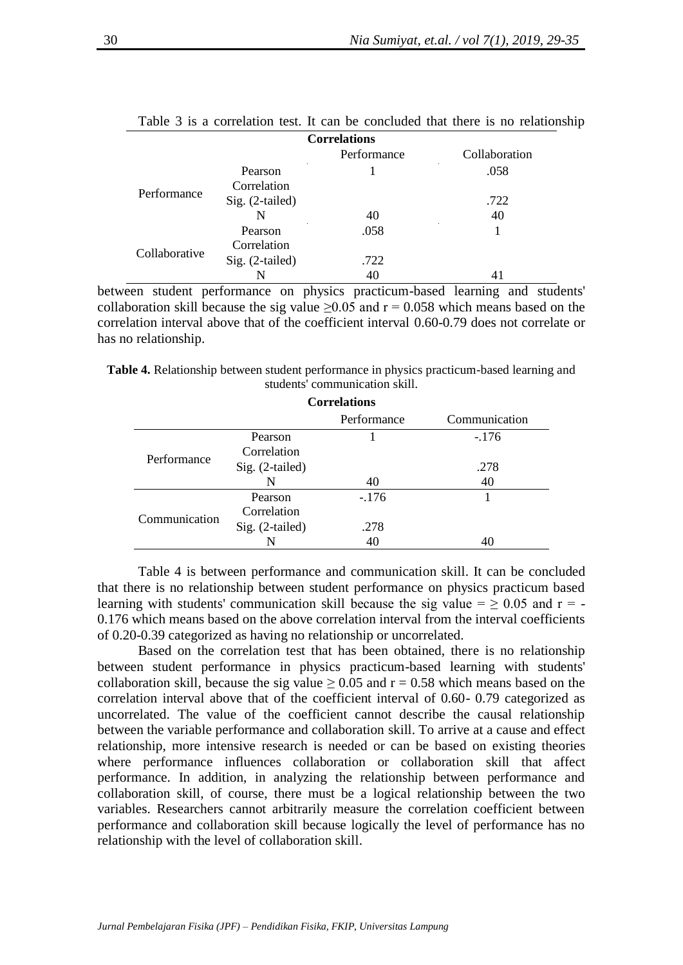|               |                 | Performance | Collaboration |
|---------------|-----------------|-------------|---------------|
| Performance   | Pearson         |             | .058          |
|               | Correlation     |             |               |
|               | Sig. (2-tailed) |             | .722          |
|               | N               | 40          | 40            |
| Collaborative | Pearson         | .058        |               |
|               | Correlation     |             |               |
|               | Sig. (2-tailed) | .722        |               |
|               | N               | 40          |               |

Table 3 is a correlation test. It can be concluded that there is no relationship **Correlations**

between student performance on physics practicum-based learning and students' collaboration skill because the sig value  $\geq 0.05$  and  $r = 0.058$  which means based on the correlation interval above that of the coefficient interval 0.60-0.79 does not correlate or has no relationship.

**Table 4.** Relationship between student performance in physics practicum-based learning and students' communication skill.

| <b>Correlations</b> |                 |             |               |  |  |
|---------------------|-----------------|-------------|---------------|--|--|
|                     |                 | Performance | Communication |  |  |
| Performance         | Pearson         |             | $-176$        |  |  |
|                     | Correlation     |             |               |  |  |
|                     | Sig. (2-tailed) |             | .278          |  |  |
|                     | N               | 40          | 40            |  |  |
| Communication       | Pearson         | $-176$      |               |  |  |
|                     | Correlation     |             |               |  |  |
|                     | Sig. (2-tailed) | .278        |               |  |  |
|                     |                 | 40          |               |  |  |

Table 4 is between performance and communication skill. It can be concluded that there is no relationship between student performance on physics practicum based learning with students' communication skill because the sig value =  $\geq$  0.05 and r = -0.176 which means based on the above correlation interval from the interval coefficients of 0.20-0.39 categorized as having no relationship or uncorrelated.

Based on the correlation test that has been obtained, there is no relationship between student performance in physics practicum-based learning with students' collaboration skill, because the sig value  $\geq 0.05$  and  $r = 0.58$  which means based on the correlation interval above that of the coefficient interval of 0.60- 0.79 categorized as uncorrelated. The value of the coefficient cannot describe the causal relationship between the variable performance and collaboration skill. To arrive at a cause and effect relationship, more intensive research is needed or can be based on existing theories where performance influences collaboration or collaboration skill that affect performance. In addition, in analyzing the relationship between performance and collaboration skill, of course, there must be a logical relationship between the two variables. Researchers cannot arbitrarily measure the correlation coefficient between performance and collaboration skill because logically the level of performance has no relationship with the level of collaboration skill.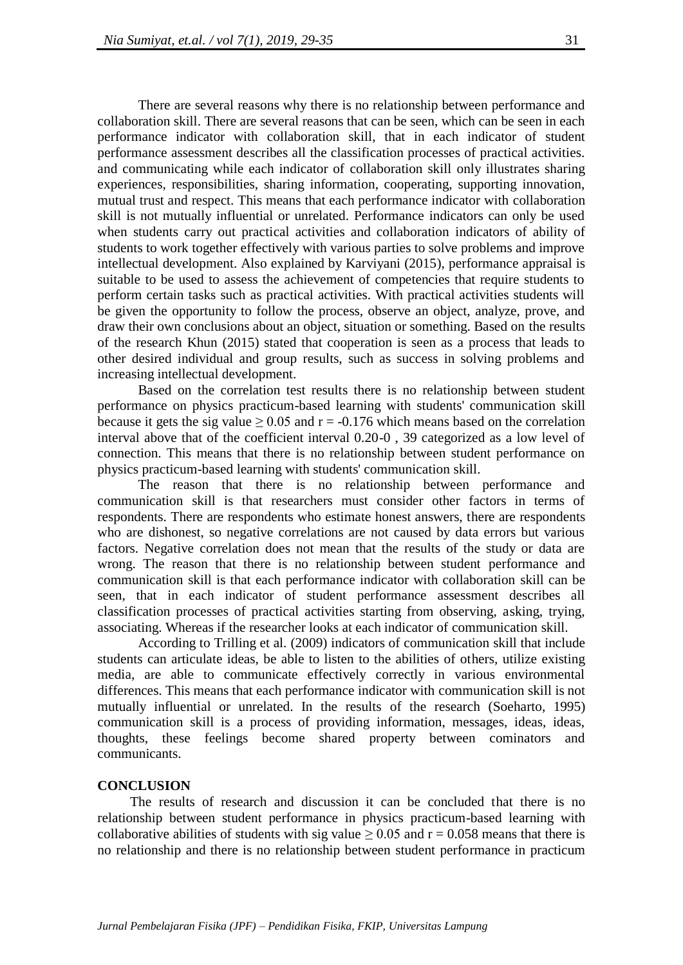There are several reasons why there is no relationship between performance and collaboration skill. There are several reasons that can be seen, which can be seen in each performance indicator with collaboration skill, that in each indicator of student performance assessment describes all the classification processes of practical activities. and communicating while each indicator of collaboration skill only illustrates sharing experiences, responsibilities, sharing information, cooperating, supporting innovation, mutual trust and respect. This means that each performance indicator with collaboration skill is not mutually influential or unrelated. Performance indicators can only be used when students carry out practical activities and collaboration indicators of ability of students to work together effectively with various parties to solve problems and improve intellectual development. Also explained by Karviyani (2015), performance appraisal is suitable to be used to assess the achievement of competencies that require students to perform certain tasks such as practical activities. With practical activities students will be given the opportunity to follow the process, observe an object, analyze, prove, and draw their own conclusions about an object, situation or something. Based on the results of the research Khun (2015) stated that cooperation is seen as a process that leads to other desired individual and group results, such as success in solving problems and increasing intellectual development.

Based on the correlation test results there is no relationship between student performance on physics practicum-based learning with students' communication skill because it gets the sig value  $> 0.05$  and  $r = -0.176$  which means based on the correlation interval above that of the coefficient interval 0.20-0 , 39 categorized as a low level of connection. This means that there is no relationship between student performance on physics practicum-based learning with students' communication skill.

The reason that there is no relationship between performance and communication skill is that researchers must consider other factors in terms of respondents. There are respondents who estimate honest answers, there are respondents who are dishonest, so negative correlations are not caused by data errors but various factors. Negative correlation does not mean that the results of the study or data are wrong. The reason that there is no relationship between student performance and communication skill is that each performance indicator with collaboration skill can be seen, that in each indicator of student performance assessment describes all classification processes of practical activities starting from observing, asking, trying, associating. Whereas if the researcher looks at each indicator of communication skill.

According to Trilling et al. (2009) indicators of communication skill that include students can articulate ideas, be able to listen to the abilities of others, utilize existing media, are able to communicate effectively correctly in various environmental differences. This means that each performance indicator with communication skill is not mutually influential or unrelated. In the results of the research (Soeharto, 1995) communication skill is a process of providing information, messages, ideas, ideas, thoughts, these feelings become shared property between cominators and communicants.

#### **CONCLUSION**

The results of research and discussion it can be concluded that there is no relationship between student performance in physics practicum-based learning with collaborative abilities of students with sig value  $\geq 0.05$  and  $r = 0.058$  means that there is no relationship and there is no relationship between student performance in practicum